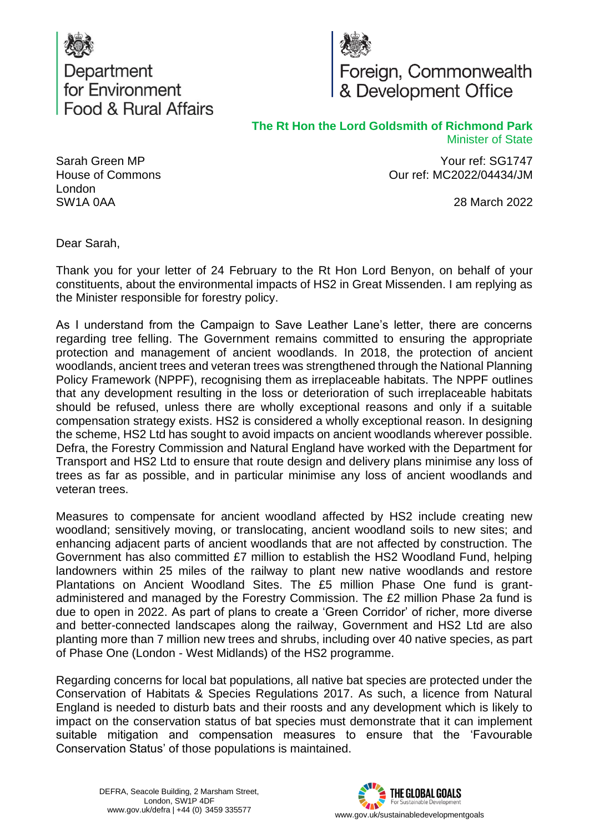



**The Rt Hon the Lord Goldsmith of Richmond Park** Minister of State

> Your ref: SG1747 Our ref: MC2022/04434/JM

> > 28 March 2022

Sarah Green MP House of Commons London SW1A 0AA

Dear Sarah,

Thank you for your letter of 24 February to the Rt Hon Lord Benyon, on behalf of your constituents, about the environmental impacts of HS2 in Great Missenden. I am replying as the Minister responsible for forestry policy.

As I understand from the Campaign to Save Leather Lane's letter, there are concerns regarding tree felling. The Government remains committed to ensuring the appropriate protection and management of ancient woodlands. In 2018, the protection of ancient woodlands, ancient trees and veteran trees was strengthened through the National Planning Policy Framework (NPPF), recognising them as irreplaceable habitats. The NPPF outlines that any development resulting in the loss or deterioration of such irreplaceable habitats should be refused, unless there are wholly exceptional reasons and only if a suitable compensation strategy exists. HS2 is considered a wholly exceptional reason. In designing the scheme, HS2 Ltd has sought to avoid impacts on ancient woodlands wherever possible. Defra, the Forestry Commission and Natural England have worked with the Department for Transport and HS2 Ltd to ensure that route design and delivery plans minimise any loss of trees as far as possible, and in particular minimise any loss of ancient woodlands and veteran trees.

Measures to compensate for ancient woodland affected by HS2 include creating new woodland; sensitively moving, or translocating, ancient woodland soils to new sites; and enhancing adjacent parts of ancient woodlands that are not affected by construction. The Government has also committed £7 million to establish the HS2 Woodland Fund, helping landowners within 25 miles of the railway to plant new native woodlands and restore Plantations on Ancient Woodland Sites. The £5 million Phase One fund is grantadministered and managed by the Forestry Commission. The £2 million Phase 2a fund is due to open in 2022. As part of plans to create a 'Green Corridor' of richer, more diverse and better-connected landscapes along the railway, Government and HS2 Ltd are also planting more than 7 million new trees and shrubs, including over 40 native species, as part of Phase One (London - West Midlands) of the HS2 programme.

Regarding concerns for local bat populations, all native bat species are protected under the Conservation of Habitats & Species Regulations 2017. As such, a licence from Natural England is needed to disturb bats and their roosts and any development which is likely to impact on the conservation status of bat species must demonstrate that it can implement suitable mitigation and compensation measures to ensure that the 'Favourable Conservation Status' of those populations is maintained.